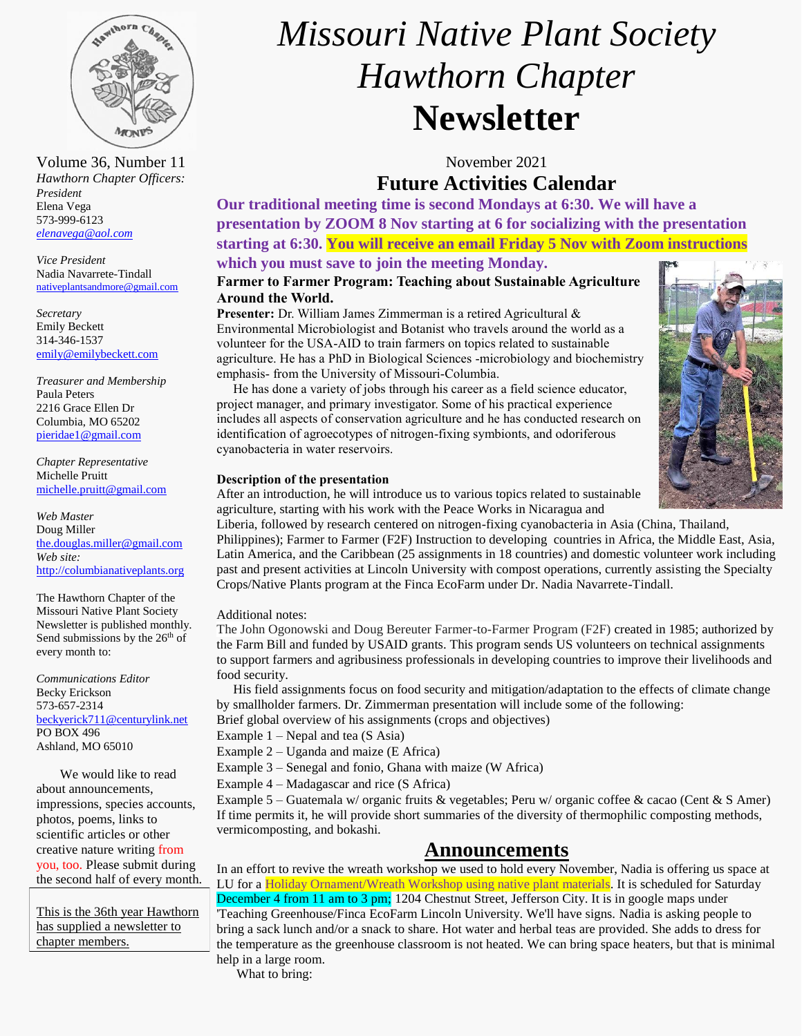

*Hawthorn Chapter Officers: President* Elena Vega 573-999-6123 *[elenavega@aol.com](mailto:elenavega@aol.com)*

*Vice President* Nadia Navarrete-Tindall [nativeplantsandmore@gmail.com](mailto:nativeplantsandmore@gmail.com)

*Secretary* Emily Beckett 314-346-1537 [emily@emilybeckett.com](mailto:emily@emilybeckett.com)

*Treasurer and Membership* Paula Peters 2216 Grace Ellen Dr Columbia, MO 65202 [pieridae1@gmail.com](mailto:pieridae1@gmail.com)

*Chapter Representative*  Michelle Pruitt [michelle.pruitt@gmail.com](mailto:michelle.pruitt@gmail.com)

*Web Master* Doug Miller [the.douglas.miller@gmail.com](mailto:the.douglas.miller@gmail.com) *Web site:* [http://columbianativeplants.org](http://columbianativeplants.org/)

The Hawthorn Chapter of the Missouri Native Plant Society Newsletter is published monthly. Send submissions by the 26<sup>th</sup> of every month to:

*Communications Editor* Becky Erickson 573-657-2314 [beckyerick711@centurylink.net](mailto:beckyerick711@centurylink.net) PO BOX 496 Ashland, MO 65010

We would like to read about announcements, impressions, species accounts, photos, poems, links to scientific articles or other creative nature writing from you, too. Please submit during the second half of every month.

This is the 36th year Hawthorn has supplied a newsletter to chapter members.

# *Missouri Native Plant Society Hawthorn Chapter* **Newsletter**

Volume 36, Number 11 November 2021 **Future Activities Calendar**

**Our traditional meeting time is second Mondays at 6:30. We will have a presentation by ZOOM 8 Nov starting at 6 for socializing with the presentation starting at 6:30. You will receive an email Friday 5 Nov with Zoom instructions**

### **which you must save to join the meeting Monday.**

### **Farmer to Farmer Program: Teaching about Sustainable Agriculture Around the World.**

**Presenter:** Dr. William James Zimmerman is a retired Agricultural & Environmental Microbiologist and Botanist who travels around the world as a volunteer for the USA-AID to train farmers on topics related to sustainable agriculture. He has a PhD in Biological Sciences -microbiology and biochemistry emphasis- from the University of Missouri-Columbia.

 He has done a variety of jobs through his career as a field science educator, project manager, and primary investigator. Some of his practical experience includes all aspects of conservation agriculture and he has conducted research on identification of agroecotypes of nitrogen-fixing symbionts, and odoriferous cyanobacteria in water reservoirs.



After an introduction, he will introduce us to various topics related to sustainable agriculture, starting with his work with the Peace Works in Nicaragua and

Liberia, followed by research centered on nitrogen-fixing cyanobacteria in Asia (China, Thailand, Philippines); Farmer to Farmer (F2F) Instruction to developing countries in Africa, the Middle East, Asia, Latin America, and the Caribbean (25 assignments in 18 countries) and domestic volunteer work including past and present activities at Lincoln University with compost operations, currently assisting the Specialty Crops/Native Plants program at the Finca EcoFarm under Dr. Nadia Navarrete-Tindall.

### Additional notes:

1. The John Ogonowski and Doug Bereuter Farmer-to-Farmer Program (F2F) created in 1985; authorized by the Farm Bill and funded by USAID grants. This program sends US volunteers on technical assignments to support farmers and agribusiness professionals in developing countries to improve their livelihoods and food security.

2. His field assignments focus on food security and mitigation/adaptation to the effects of climate change by smallholder farmers. Dr. Zimmerman presentation will include some of the following:

Brief global overview of his assignments (crops and objectives)

Example 1 – Nepal and tea (S Asia)

Example 2 – Uganda and maize (E Africa)

Example 3 – Senegal and fonio, Ghana with maize (W Africa)

Example 4 – Madagascar and rice (S Africa)

 Example 5 – Guatemala w/ organic fruits & vegetables; Peru w/ organic coffee & cacao (Cent & S Amer) If time permits it, he will provide short summaries of the diversity of thermophilic composting methods, vermicomposting, and bokashi.

### **Announcements**

In an effort to revive the wreath workshop we used to hold every November, Nadia is offering us space at LU for a Holiday Ornament/Wreath Workshop using native plant materials. It is scheduled for Saturday December 4 from 11 am to 3 pm; 1204 Chestnut Street, Jefferson City. It is in google maps under 'Teaching Greenhouse/Finca EcoFarm Lincoln University. We'll have signs. Nadia is asking people to bring a sack lunch and/or a snack to share. Hot water and herbal teas are provided. She adds to dress for the temperature as the greenhouse classroom is not heated. We can bring space heaters, but that is minimal help in a large room.

What to bring:

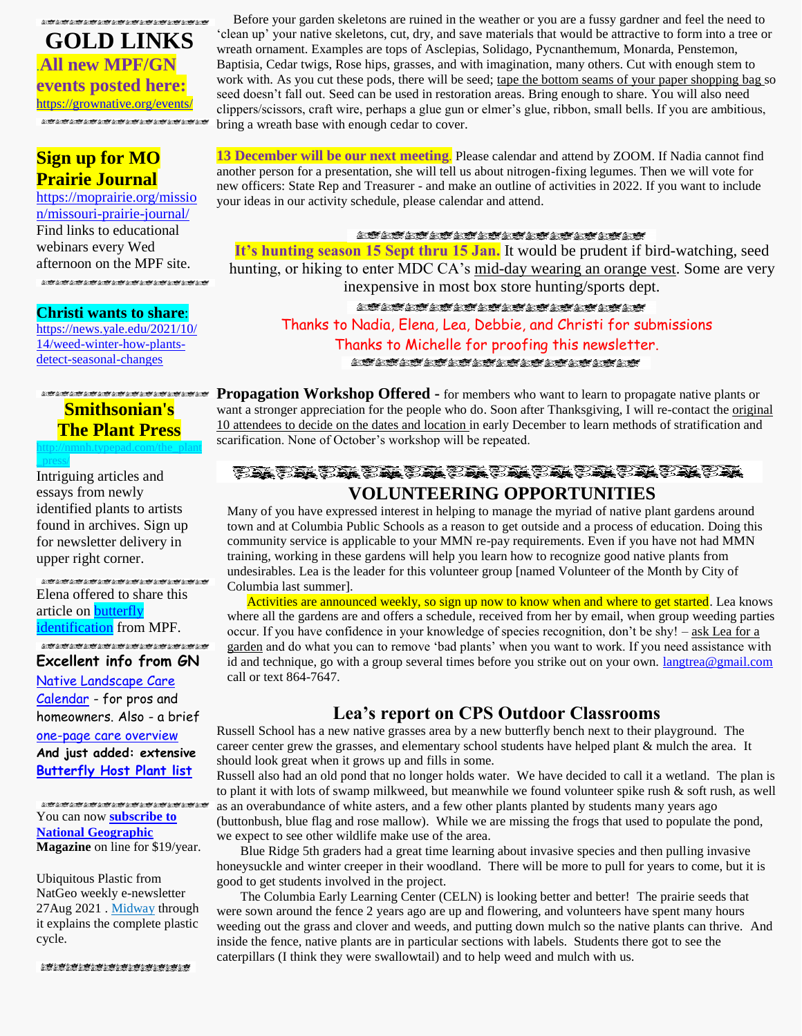**GOLD LINKS** .**All new MPF/GN events posted here:** <https://grownative.org/events/> 

### **Sign up for MO Prairie Journal**

[https://moprairie.org/missio](https://moprairie.org/mission/missouri-prairie-journal/) [n/missouri-prairie-journal/](https://moprairie.org/mission/missouri-prairie-journal/) Find links to educational webinars every Wed afternoon on the MPF site.  $\hat{G} \in \overline{\mathfrak{M}}^{\mathrm{loc}}_{\mathbb{R}}(G) \times \overline{\mathfrak{M}}^{\mathrm{loc}}_{\mathbb{R}}(G) \times \overline{\mathfrak{M}}^{\mathrm{loc}}_{\mathbb{R}}(G) \times \overline{\mathfrak{M}}^{\mathrm{loc}}_{\mathbb{R}}(G) \times \overline{\mathfrak{M}}^{\mathrm{loc}}_{\mathbb{R}}(G) \times \overline{\mathfrak{M}}^{\mathrm{loc}}_{\mathbb{R}}(G) \times \overline{\mathfrak{M}}^{\mathrm{loc}}_{\mathbb{R}}(G) \times \overline{\mathfrak{M}}^{\mathrm{loc}}_{$ 

### **Christi wants to share**:

[https://news.yale.edu/2021/10/](https://news.yale.edu/2021/10/14/weed-winter-how-plants-detect-seasonal-changes) [14/weed-winter-how-plants](https://news.yale.edu/2021/10/14/weed-winter-how-plants-detect-seasonal-changes)[detect-seasonal-changes](https://news.yale.edu/2021/10/14/weed-winter-how-plants-detect-seasonal-changes) 

### **Smithsonian's The Plant Press**  [http://nmnh.typepad.com/the\\_plant](http://nmnh.typepad.com/the_plant_press/)

Intriguing articles and essays from newly identified plants to artists found in archives. Sign up for newsletter delivery in upper right corner.

[\\_press/](http://nmnh.typepad.com/the_plant_press/)

Elena offered to share this article on **butterfly** [identification](https://drive.google.com/file/d/189ztcJixsQVxgoNYqfUyKUUSbzCAfJzI/view?fbclid=IwAR2k4EU_qu40bPIjBNDBNJd4tOT_yxWleS8VZSSxf1NE6PnRkAW5oqkpz84) from MPF. LA LA LA LA LA LA LA LA LA LA LA LA

### **Excellent info from GN**

[Native Landscape Care](https://grownative.org/learn/native-landscape-care-calendar/)  [Calendar](https://grownative.org/learn/native-landscape-care-calendar/) - for pros and homeowners. Also - a brief [one-page care overview](https://drive.google.com/file/d/1qTzmImXxIQcmsawwZ_iyCM08y2lE-Nl9/view) **And just added: extensive [Butterfly Host Plant list](https://drive.google.com/file/d/18rIfDgS22Dbx_kYybW16-ypqIiAUbxd-/view)**

You can now **[subscribe to](https://ngmdomsubs.nationalgeographic.com/pubs/NG/NGM/ngm_email_3_Feb21_annual_and_monthly.jsp?cds_page_id=257182&cds_mag_code=NGM&id=1624414833517&lsid=11732118110022982&vid=4)  [National Geographic](https://ngmdomsubs.nationalgeographic.com/pubs/NG/NGM/ngm_email_3_Feb21_annual_and_monthly.jsp?cds_page_id=257182&cds_mag_code=NGM&id=1624414833517&lsid=11732118110022982&vid=4) Magazine** on line for \$19/year.

Ubiquitous Plastic from NatGeo weekly e-newsletter 27Aug 2021 . [Midway](https://www.nationalgeographic.com/science/article/microplastics-in-virtually-every-crevice-on-earth?cmpid=org%3Dngp%3A%3Amc%3Dcrm-email%3A%3Asrc%3Dngp%3A%3Acmp%3Deditorial%3A%3Aadd%3DSpecialEdition_20210827&rid=79A1C0B004D8B63E7F1ADE05C9F507A8&loggedin=true) through it explains the complete plastic cycle.

 Before your garden skeletons are ruined in the weather or you are a fussy gardner and feel the need to 'clean up' your native skeletons, cut, dry, and save materials that would be attractive to form into a tree or wreath ornament. Examples are tops of Asclepias, Solidago, Pycnanthemum, Monarda, Penstemon, Baptisia, Cedar twigs, Rose hips, grasses, and with imagination, many others. Cut with enough stem to work with. As you cut these pods, there will be seed; tape the bottom seams of your paper shopping bag so seed doesn't fall out. Seed can be used in restoration areas. Bring enough to share. You will also need clippers/scissors, craft wire, perhaps a glue gun or elmer's glue, ribbon, small bells. If you are ambitious, bring a wreath base with enough cedar to cover.

**13 December will be our next meeting**. Please calendar and attend by ZOOM. If Nadia cannot find another person for a presentation, she will tell us about nitrogen-fixing legumes. Then we will vote for new officers: State Rep and Treasurer - and make an outline of activities in 2022. If you want to include your ideas in our activity schedule, please calendar and attend.

#### お茶の茶の茶の茶の茶の茶の茶の茶の茶の茶の茶の茶の

**It's hunting season 15 Sept thru 15 Jan.** It would be prudent if bird-watching, seed hunting, or hiking to enter MDC CA's mid-day wearing an orange vest. Some are very inexpensive in most box store hunting/sports dept.

en en en en en en en en en en Thanks to Nadia, Elena, Lea, Debbie, and Christi for submissions Thanks to Michelle for proofing this newsletter. ersker er er er en en er

*Propagation Workshop Offered* **-** for members who want to learn to propagate native plants or want a stronger appreciation for the people who do. Soon after Thanksgiving, I will re-contact the original 10 attendees to decide on the dates and location in early December to learn methods of stratification and scarification. None of October's workshop will be repeated.

### **のことをすることをすることをすることをすることをする。 VOLUNTEERING OPPORTUNITIES**

Many of you have expressed interest in helping to manage the myriad of native plant gardens around town and at Columbia Public Schools as a reason to get outside and a process of education. Doing this community service is applicable to your MMN re-pay requirements. Even if you have not had MMN training, working in these gardens will help you learn how to recognize good native plants from undesirables. Lea is the leader for this volunteer group [named Volunteer of the Month by City of Columbia last summer].

Activities are announced weekly, so sign up now to know when and where to get started. Lea knows where all the gardens are and offers a schedule, received from her by email, when group weeding parties occur. If you have confidence in your knowledge of species recognition, don't be shy! – ask Lea for a garden and do what you can to remove 'bad plants' when you want to work. If you need assistance with id and technique, go with a group several times before you strike out on your own. langtrea@gmail.com call or text 864-7647.

### **Lea's report on CPS Outdoor Classrooms**

Russell School has a new native grasses area by a new butterfly bench next to their playground. The career center grew the grasses, and elementary school students have helped plant & mulch the area. It should look great when it grows up and fills in some.

Russell also had an old pond that no longer holds water. We have decided to call it a wetland. The plan is to plant it with lots of swamp milkweed, but meanwhile we found volunteer spike rush & soft rush, as well as an overabundance of white asters, and a few other plants planted by students many years ago (buttonbush, blue flag and rose mallow). While we are missing the frogs that used to populate the pond, we expect to see other wildlife make use of the area.

Blue Ridge 5th graders had a great time learning about invasive species and then pulling invasive honeysuckle and winter creeper in their woodland. There will be more to pull for years to come, but it is good to get students involved in the project.

The Columbia Early Learning Center (CELN) is looking better and better! The prairie seeds that were sown around the fence 2 years ago are up and flowering, and volunteers have spent many hours weeding out the grass and clover and weeds, and putting down mulch so the native plants can thrive. And inside the fence, native plants are in particular sections with labels. Students there got to see the caterpillars (I think they were swallowtail) and to help weed and mulch with us.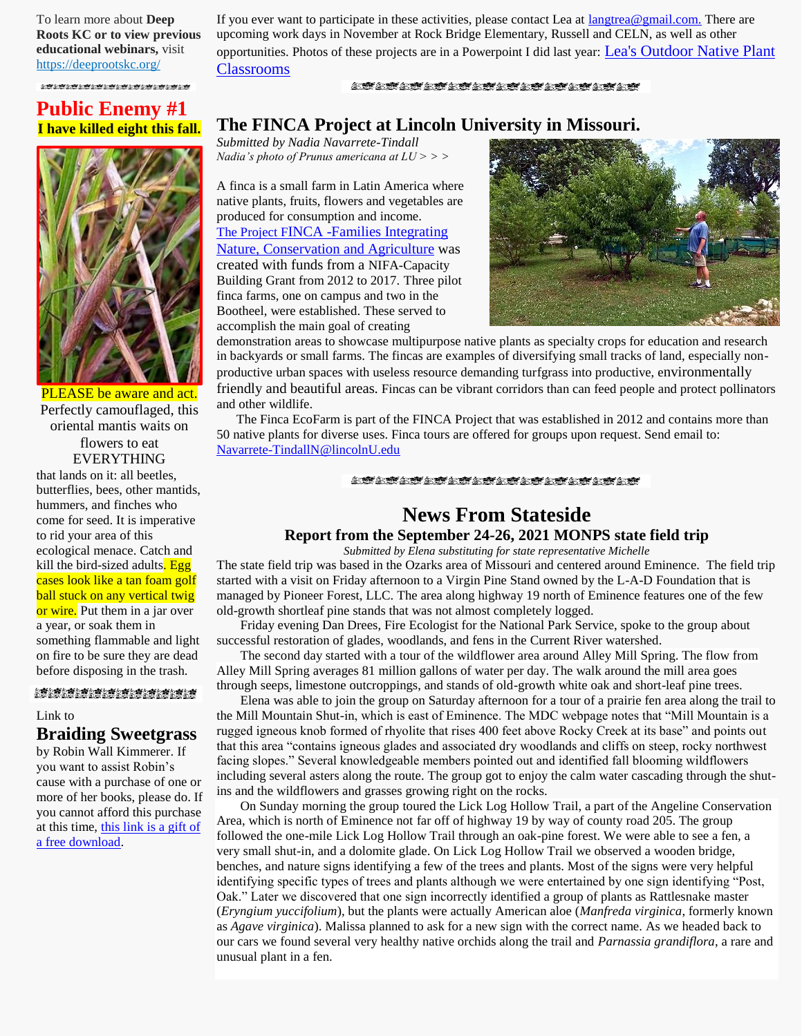To learn more about **Deep Roots KC or to view previous educational webinars,** visit [https://deeprootskc.org/](https://lnks.gd/l/eyJhbGciOiJIUzI1NiJ9.eyJidWxsZXRpbl9saW5rX2lkIjoxMDEsInVyaSI6ImJwMjpjbGljayIsImJ1bGxldGluX2lkIjoiMjAyMDA3MjcuMjQ5MDc0NjEiLCJ1cmwiOiJodHRwczovL2RlZXByb290c2tjLm9yZy8ifQ.4lSE_HuwGbHZ6R6__IJb9tFbuN1Ub9BaPSbnN0IE4ng/s/248514939/br/81516578152-l)

If you ever want to participate in these activities, please contact Lea at [langtrea@gmail.com.](http://langtrea@gmail.com.) There are upcoming work days in November at Rock Bridge Elementary, Russell and CELN, as well as other opportunities. Photos of these projects are in a Powerpoint I did last year: [Lea's Outdoor Native Plant](https://1drv.ms/p/s!AjscdYpHSUkgccDCmcryKAdf1sk?e=3YWx6d)  [Classrooms](https://1drv.ms/p/s!AjscdYpHSUkgccDCmcryKAdf1sk?e=3YWx6d)

#### **STATA MATALIAN STATA MATA**

### **Public Enemy #1 I have killed eight this fall.**



PLEASE be aware and act. Perfectly camouflaged, this oriental mantis waits on flowers to eat EVERYTHING

that lands on it: all beetles, butterflies, bees, other mantids, hummers, and finches who come for seed. It is imperative to rid your area of this ecological menace. Catch and kill the bird-sized adults. Egg cases look like a tan foam golf ball stuck on any vertical twig or wire. Put them in a jar over a year, or soak them in something flammable and light on fire to be sure they are dead before disposing in the trash.

#### 

#### Link to

### **Braiding Sweetgrass**

by Robin Wall Kimmerer. If you want to assist Robin's cause with a purchase of one or more of her books, please do. If you cannot afford this purchase at this time, this link [is a gift of](https://pdforall.com/wp-content/uploads/2020/08/Braiding-Sweetgrass-PDFORALL.COM_.pdf)  [a free download.](https://pdforall.com/wp-content/uploads/2020/08/Braiding-Sweetgrass-PDFORALL.COM_.pdf)

### **The FINCA Project at Lincoln University in Missouri.**

*Submitted by Nadia Navarrete-Tindall Nadia's photo of Prunus americana at LU > > >*

A finca is a small farm in Latin America where native plants, fruits, flowers and vegetables are produced for consumption and income. The Project F[INCA -Families Integrating](http://agebb.missouri.edu/agforest/archives/v25n3/gh4.php)  [Nature, Conservation and Agriculture](http://agebb.missouri.edu/agforest/archives/v25n3/gh4.php) was created with funds from a NIFA-Capacity Building Grant from 2012 to 2017. Three pilot finca farms, one on campus and two in the Bootheel, were established. These served to accomplish the main goal of creating



demonstration areas to showcase multipurpose native plants as specialty crops for education and research in backyards or small farms. The fincas are examples of diversifying small tracks of land, especially nonproductive urban spaces with useless resource demanding turfgrass into productive, environmentally friendly and beautiful areas. Fincas can be vibrant corridors than can feed people and protect pollinators and other wildlife.

 The Finca EcoFarm is part of the FINCA Project that was established in 2012 and contains more than 50 native plants for diverse uses. Finca tours are offered for groups upon request. Send email to: [Navarrete-TindallN@lincolnU.edu](mailto:Navarrete-TindallN@lincolnU.edu)

#### **STATET STATET STATET STATET**

### **News From Stateside Report from the September 24-26, 2021 MONPS state field trip**

*Submitted by Elena substituting for state representative Michelle* The state field trip was based in the Ozarks area of Missouri and centered around Eminence. The field trip started with a visit on Friday afternoon to a Virgin Pine Stand owned by the L-A-D Foundation that is managed by Pioneer Forest, LLC. The area along highway 19 north of Eminence features one of the few old-growth shortleaf pine stands that was not almost completely logged.

Friday evening Dan Drees, Fire Ecologist for the National Park Service, spoke to the group about successful restoration of glades, woodlands, and fens in the Current River watershed.

The second day started with a tour of the wildflower area around Alley Mill Spring. The flow from Alley Mill Spring averages 81 million gallons of water per day. The walk around the mill area goes through seeps, limestone outcroppings, and stands of old-growth white oak and short-leaf pine trees.

Elena was able to join the group on Saturday afternoon for a tour of a prairie fen area along the trail to the Mill Mountain Shut-in, which is east of Eminence. The MDC webpage notes that "Mill Mountain is a rugged igneous knob formed of rhyolite that rises 400 feet above Rocky Creek at its base" and points out that this area "contains igneous glades and associated dry woodlands and cliffs on steep, rocky northwest facing slopes." Several knowledgeable members pointed out and identified fall blooming wildflowers including several asters along the route. The group got to enjoy the calm water cascading through the shutins and the wildflowers and grasses growing right on the rocks.

On Sunday morning the group toured the Lick Log Hollow Trail, a part of the Angeline Conservation Area, which is north of Eminence not far off of highway 19 by way of county road 205. The group followed the one-mile Lick Log Hollow Trail through an oak-pine forest. We were able to see a fen, a very small shut-in, and a dolomite glade. On Lick Log Hollow Trail we observed a wooden bridge, benches, and nature signs identifying a few of the trees and plants. Most of the signs were very helpful identifying specific types of trees and plants although we were entertained by one sign identifying "Post, Oak." Later we discovered that one sign incorrectly identified a group of plants as Rattlesnake master (*Eryngium yuccifolium*), but the plants were actually American aloe (*Manfreda virginica*, formerly known as *Agave virginica*). Malissa planned to ask for a new sign with the correct name. As we headed back to our cars we found several very healthy native orchids along the trail and *Parnassia grandiflora*, a rare and unusual plant in a fen.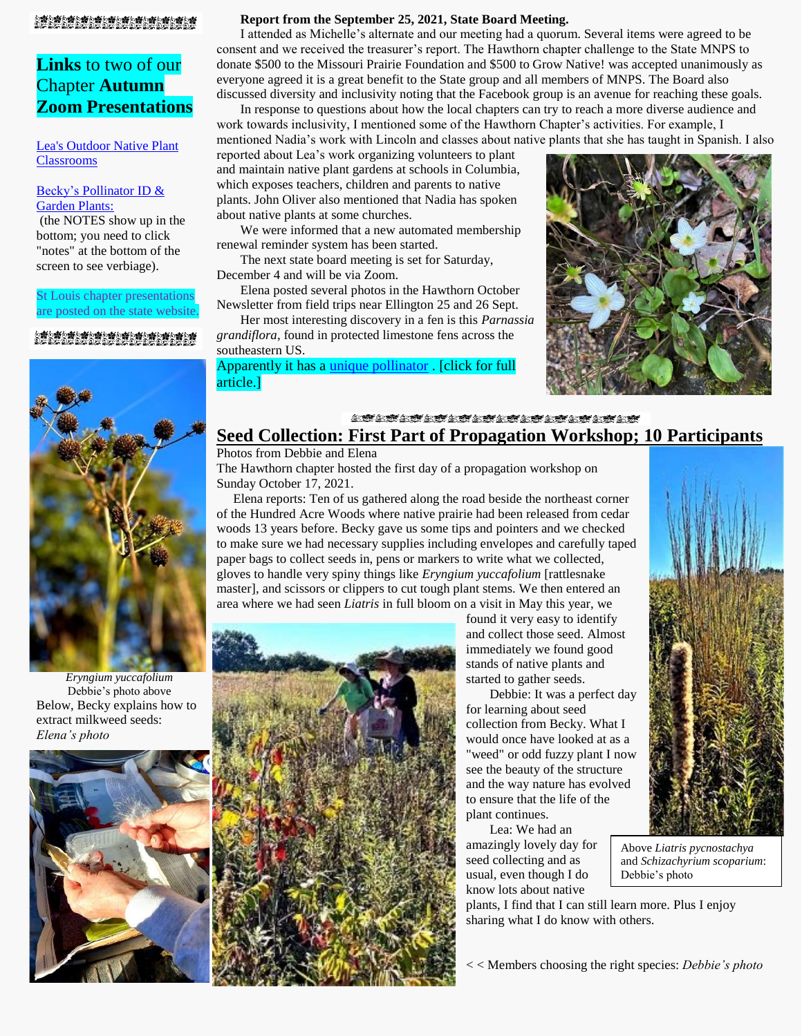### 

### **Links** to two of our Chapter **Autumn Zoom Presentations**

[Lea's Outdoor Native Plant](https://1drv.ms/p/s!AjscdYpHSUkgccDCmcryKAdf1sk?e=3YWx6d)  [Classrooms](https://1drv.ms/p/s!AjscdYpHSUkgccDCmcryKAdf1sk?e=3YWx6d)

#### [Becky's Pollinator ID &](https://1drv.ms/p/s!AjscdYpHSUkgc3nMcng4S-pzkVU?e=qvUOJL)  [Garden Plants:](https://1drv.ms/p/s!AjscdYpHSUkgc3nMcng4S-pzkVU?e=qvUOJL)

(the NOTES show up in the bottom; you need to click "notes" at the bottom of the screen to see verbiage).

#### St Louis chapter presentations are posted on the state website.

#### <sup></sup>②繋の繋の繋の繋の塔の塔の塔の塔を塔ん塔に接め塔に塔<br>のどのどのどのどのだのだのだのだのだのだのだのだ



*Eryngium yuccafolium* Debbie's photo above Below, Becky explains how to extract milkweed seeds: *Elena's photo*



#### **Report from the September 25, 2021, State Board Meeting.**

I attended as Michelle's alternate and our meeting had a quorum. Several items were agreed to be consent and we received the treasurer's report. The Hawthorn chapter challenge to the State MNPS to donate \$500 to the Missouri Prairie Foundation and \$500 to Grow Native! was accepted unanimously as everyone agreed it is a great benefit to the State group and all members of MNPS. The Board also discussed diversity and inclusivity noting that the Facebook group is an avenue for reaching these goals.

In response to questions about how the local chapters can try to reach a more diverse audience and work towards inclusivity, I mentioned some of the Hawthorn Chapter's activities. For example, I mentioned Nadia's work with Lincoln and classes about native plants that she has taught in Spanish. I also

reported about Lea's work organizing volunteers to plant and maintain native plant gardens at schools in Columbia, which exposes teachers, children and parents to native plants. John Oliver also mentioned that Nadia has spoken about native plants at some churches.

We were informed that a new automated membership renewal reminder system has been started.

The next state board meeting is set for Saturday, December 4 and will be via Zoom.

Elena posted several photos in the Hawthorn October Newsletter from field trips near Ellington 25 and 26 Sept.

Her most interesting discovery in a fen is this *Parnassia grandiflora*, found in protected limestone fens across the southeastern US.

Apparently it has a [unique pollinator](https://www.nytimes.com/2021/10/16/science/bee-pollinator-decline.html?campaign_id=9&emc=edit_nn_20211017&instance_id=43090&nl=the-morning®i_id=161911183&segment_id=71906&te=1&user_id=79a1c0b004d8b63e7f1ade05c9f507a8) . [click for full article.]



### **A STATE REAL AND A STATE STATE Seed Collection: First Part of Propagation Workshop; 10 Participants**

### Photos from Debbie and Elena

The Hawthorn chapter hosted the first day of a propagation workshop on Sunday October 17, 2021.

 Elena reports: Ten of us gathered along the road beside the northeast corner of the Hundred Acre Woods where native prairie had been released from cedar woods 13 years before. Becky gave us some tips and pointers and we checked to make sure we had necessary supplies including envelopes and carefully taped paper bags to collect seeds in, pens or markers to write what we collected, gloves to handle very spiny things like *Eryngium yuccafolium* [rattlesnake master], and scissors or clippers to cut tough plant stems. We then entered an area where we had seen *Liatris* in full bloom on a visit in May this year, we



found it very easy to identify and collect those seed. Almost immediately we found good stands of native plants and started to gather seeds.

Debbie: It was a perfect day for learning about seed collection from Becky. What I would once have looked at as a "weed" or odd fuzzy plant I now see the beauty of the structure and the way nature has evolved to ensure that the life of the plant continues.

Lea: We had an amazingly lovely day for seed collecting and as usual, even though I do know lots about native



Above *Liatris pycnostachya* and *Schizachyrium scoparium*: Debbie's photo

plants, I find that I can still learn more. Plus I enjoy sharing what I do know with others.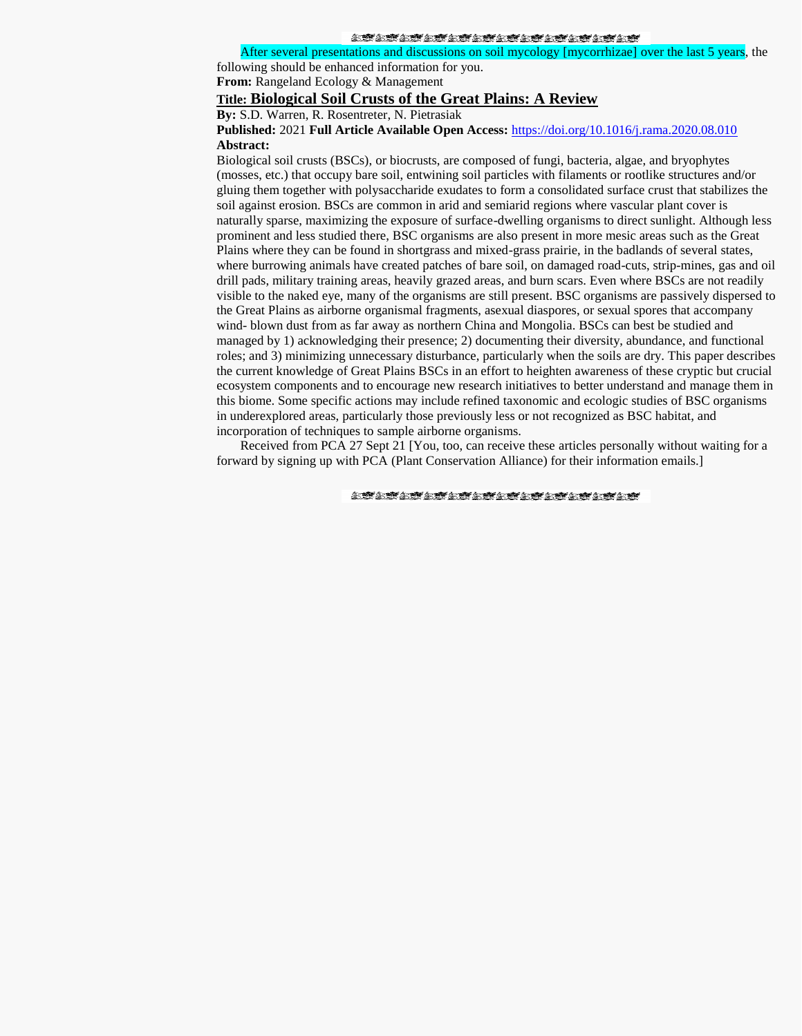#### **STATE RESOLUTE STATE RESOLUTE**

After several presentations and discussions on soil mycology [mycorrhizae] over the last 5 years, the

following should be enhanced information for you.

**From:** Rangeland Ecology & Management

### **Title: Biological Soil Crusts of the Great Plains: A Review**

**By:** S.D. Warren, R. Rosentreter, N. Pietrasiak

#### **Published:** 2021 **Full Article Available Open Access:** <https://doi.org/10.1016/j.rama.2020.08.010> **Abstract:**

Biological soil crusts (BSCs), or biocrusts, are composed of fungi, bacteria, algae, and bryophytes (mosses, etc.) that occupy bare soil, entwining soil particles with filaments or rootlike structures and/or gluing them together with polysaccharide exudates to form a consolidated surface crust that stabilizes the soil against erosion. BSCs are common in arid and semiarid regions where vascular plant cover is naturally sparse, maximizing the exposure of surface-dwelling organisms to direct sunlight. Although less prominent and less studied there, BSC organisms are also present in more mesic areas such as the Great Plains where they can be found in shortgrass and mixed-grass prairie, in the badlands of several states, where burrowing animals have created patches of bare soil, on damaged road-cuts, strip-mines, gas and oil drill pads, military training areas, heavily grazed areas, and burn scars. Even where BSCs are not readily visible to the naked eye, many of the organisms are still present. BSC organisms are passively dispersed to the Great Plains as airborne organismal fragments, asexual diaspores, or sexual spores that accompany wind- blown dust from as far away as northern China and Mongolia. BSCs can best be studied and managed by 1) acknowledging their presence; 2) documenting their diversity, abundance, and functional roles; and 3) minimizing unnecessary disturbance, particularly when the soils are dry. This paper describes the current knowledge of Great Plains BSCs in an effort to heighten awareness of these cryptic but crucial ecosystem components and to encourage new research initiatives to better understand and manage them in this biome. Some specific actions may include refined taxonomic and ecologic studies of BSC organisms in underexplored areas, particularly those previously less or not recognized as BSC habitat, and incorporation of techniques to sample airborne organisms.

Received from PCA 27 Sept 21 [You, too, can receive these articles personally without waiting for a forward by signing up with PCA (Plant Conservation Alliance) for their information emails.]

**STATET STATET STATET STATET**